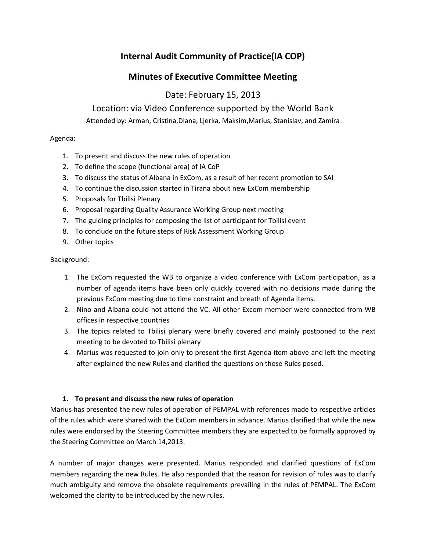# **Internal Audit Community of Practice(IA COP)**

## **Minutes of Executive Committee Meeting**

# Date: February 15, 2013

Location: via Video Conference supported by the World Bank

Attended by: Arman, Cristina,Diana, Ljerka, Maksim,Marius, Stanislav, and Zamira

## Agenda:

- 1. To present and discuss the new rules of operation
- 2. To define the scope (functional area) of IA CoP
- 3. To discuss the status of Albana in ExCom, as a result of her recent promotion to SAI
- 4. To continue the discussion started in Tirana about new ExCom membership
- 5. Proposals for Tbilisi Plenary
- 6. Proposal regarding Quality Assurance Working Group next meeting
- 7. The guiding principles for composing the list of participant for Tbilisi event
- 8. To conclude on the future steps of Risk Assessment Working Group
- 9. Other topics

## Background:

- 1. The ExCom requested the WB to organize a video conference with ExCom participation, as a number of agenda items have been only quickly covered with no decisions made during the previous ExCom meeting due to time constraint and breath of Agenda items.
- 2. Nino and Albana could not attend the VC. All other Excom member were connected from WB offices in respective countries
- 3. The topics related to Tbilisi plenary were briefly covered and mainly postponed to the next meeting to be devoted to Tbilisi plenary
- 4. Marius was requested to join only to present the first Agenda item above and left the meeting after explained the new Rules and clarified the questions on those Rules posed.

## **1. To present and discuss the new rules of operation**

Marius has presented the new rules of operation of PEMPAL with references made to respective articles of the rules which were shared with the ExCom members in advance. Marius clarified that while the new rules were endorsed by the Steering Committee members they are expected to be formally approved by the Steering Committee on March 14,2013.

A number of major changes were presented. Marius responded and clarified questions of ExCom members regarding the new Rules. He also responded that the reason for revision of rules was to clarify much ambiguity and remove the obsolete requirements prevailing in the rules of PEMPAL. The ExCom welcomed the clarity to be introduced by the new rules.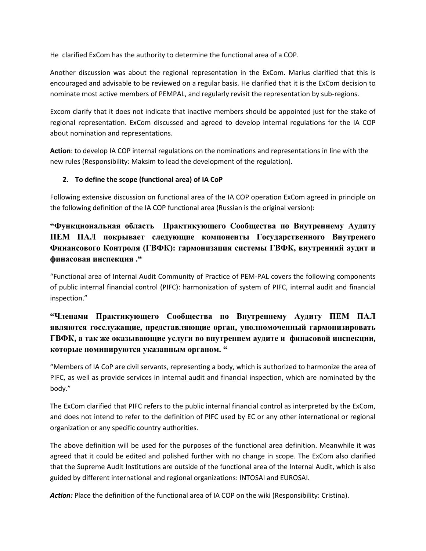He clarified ExCom has the authority to determine the functional area of a COP.

Another discussion was about the regional representation in the ExCom. Marius clarified that this is encouraged and advisable to be reviewed on a regular basis. He clarified that it is the ExCom decision to nominate most active members of PEMPAL, and regularly revisit the representation by sub-regions.

Excom clarify that it does not indicate that inactive members should be appointed just for the stake of regional representation. ExCom discussed and agreed to develop internal regulations for the IA COP about nomination and representations.

**Action**: to develop IA COP internal regulations on the nominations and representations in line with the new rules (Responsibility: Maksim to lead the development of the regulation).

## **2. To define the scope (functional area) of IA CoP**

Following extensive discussion on functional area of the IA COP operation ExCom agreed in principle on the following definition of the IA COP functional area (Russian is the original version):

## **"Функциональная область Практикующего Сообщества по Внутреннему Аудиту ПЕМ ПАЛ покрывает следующиe компоненты Государственного Внутренего Финансового Контроля (ГВФК): гармонизация системы ГВФК, внутренний аудит и финасовая инспекция ."**

"Functional area of Internal Audit Community of Practice of PEM-PAL covers the following components of public internal financial control (PIFC): harmonization of system of PIFC, internal audit and financial inspection."

## **"Членами Практикующего Сообщества по Внутреннему Аудиту ПЕМ ПАЛ являются госслужащие, представляющие орган, уполномоченный гармонизировать ГВФК, а так же оказывающие услуги во внутреннем аудите и финасовой инспекции, которые номинируются указанным органом. "**

"Members of IA CoP are civil servants, representing a body, which is authorized to harmonize the area of PIFC, as well as provide services in internal audit and financial inspection, which are nominated by the body."

The ExCom clarified that PIFC refers to the public internal financial control as interpreted by the ExCom, and does not intend to refer to the definition of PIFC used by EC or any other international or regional organization or any specific country authorities.

The above definition will be used for the purposes of the functional area definition. Meanwhile it was agreed that it could be edited and polished further with no change in scope. The ExCom also clarified that the Supreme Audit Institutions are outside of the functional area of the Internal Audit, which is also guided by different international and regional organizations: INTOSAI and EUROSAI.

Action: Place the definition of the functional area of IA COP on the wiki (Responsibility: Cristina).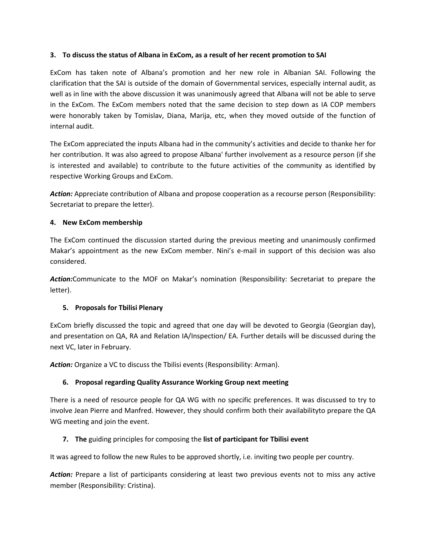### **3. To discuss the status of Albana in ExCom, as a result of her recent promotion to SAI**

ExCom has taken note of Albana's promotion and her new role in Albanian SAI. Following the clarification that the SAI is outside of the domain of Governmental services, especially internal audit, as well as in line with the above discussion it was unanimously agreed that Albana will not be able to serve in the ExCom. The ExCom members noted that the same decision to step down as IA COP members were honorably taken by Tomislav, Diana, Marija, etc, when they moved outside of the function of internal audit.

The ExCom appreciated the inputs Albana had in the community's activities and decide to thanke her for her contribution. It was also agreed to propose Albana' further involvement as a resource person (if she is interested and available) to contribute to the future activities of the community as identified by respective Working Groups and ExCom.

Action: Appreciate contribution of Albana and propose cooperation as a recourse person (Responsibility: Secretariat to prepare the letter).

### **4. New ExCom membership**

The ExCom continued the discussion started during the previous meeting and unanimously confirmed Makar's appointment as the new ExCom member. Nini's e-mail in support of this decision was also considered.

*Action:*Communicate to the MOF on Makar's nomination (Responsibility: Secretariat to prepare the letter).

## **5. Proposals for Tbilisi Plenary**

ExCom briefly discussed the topic and agreed that one day will be devoted to Georgia (Georgian day), and presentation on QA, RA and Relation IA/Inspection/ EA. Further details will be discussed during the next VC, later in February.

*Action:* Organize a VC to discuss the Tbilisi events (Responsibility: Arman).

## **6. Proposal regarding Quality Assurance Working Group next meeting**

There is a need of resource people for QA WG with no specific preferences. It was discussed to try to involve Jean Pierre and Manfred. However, they should confirm both their availabilityto prepare the QA WG meeting and join the event.

#### **7. The** guiding principles for composing the **list of participant for Tbilisi event**

It was agreed to follow the new Rules to be approved shortly, i.e. inviting two people per country.

Action: Prepare a list of participants considering at least two previous events not to miss any active member (Responsibility: Cristina).